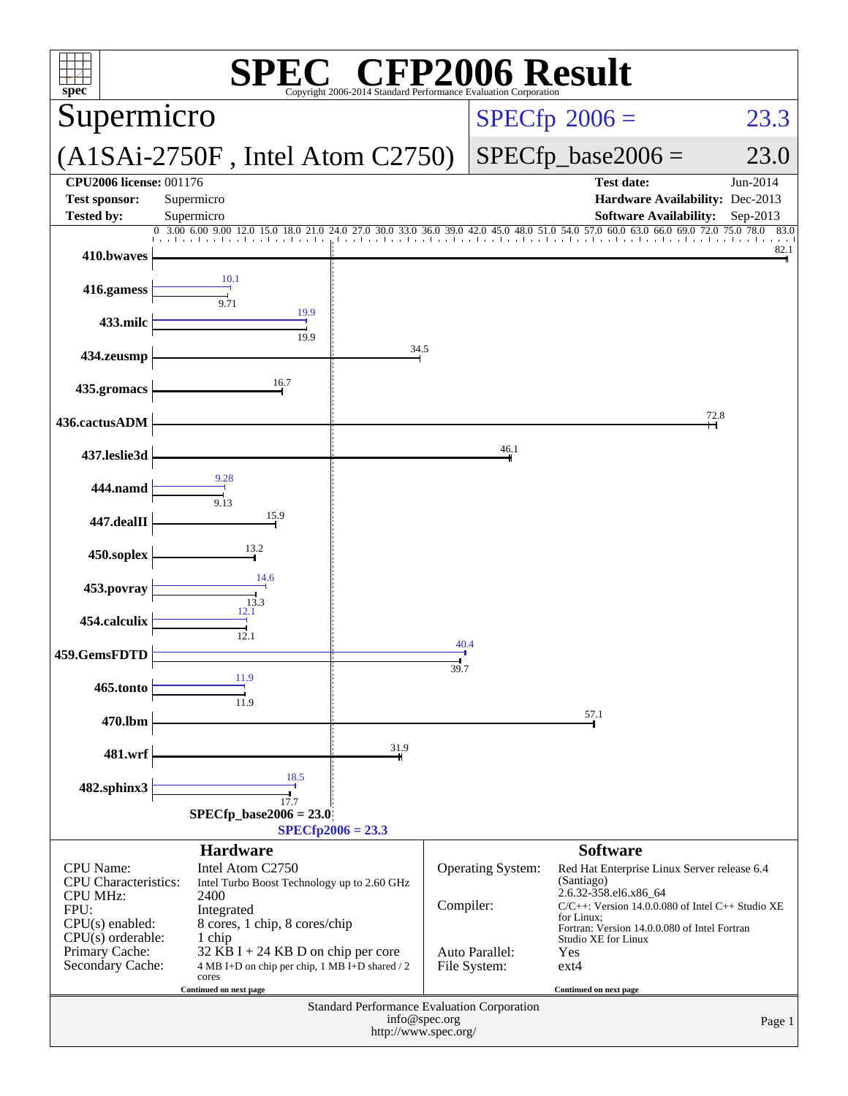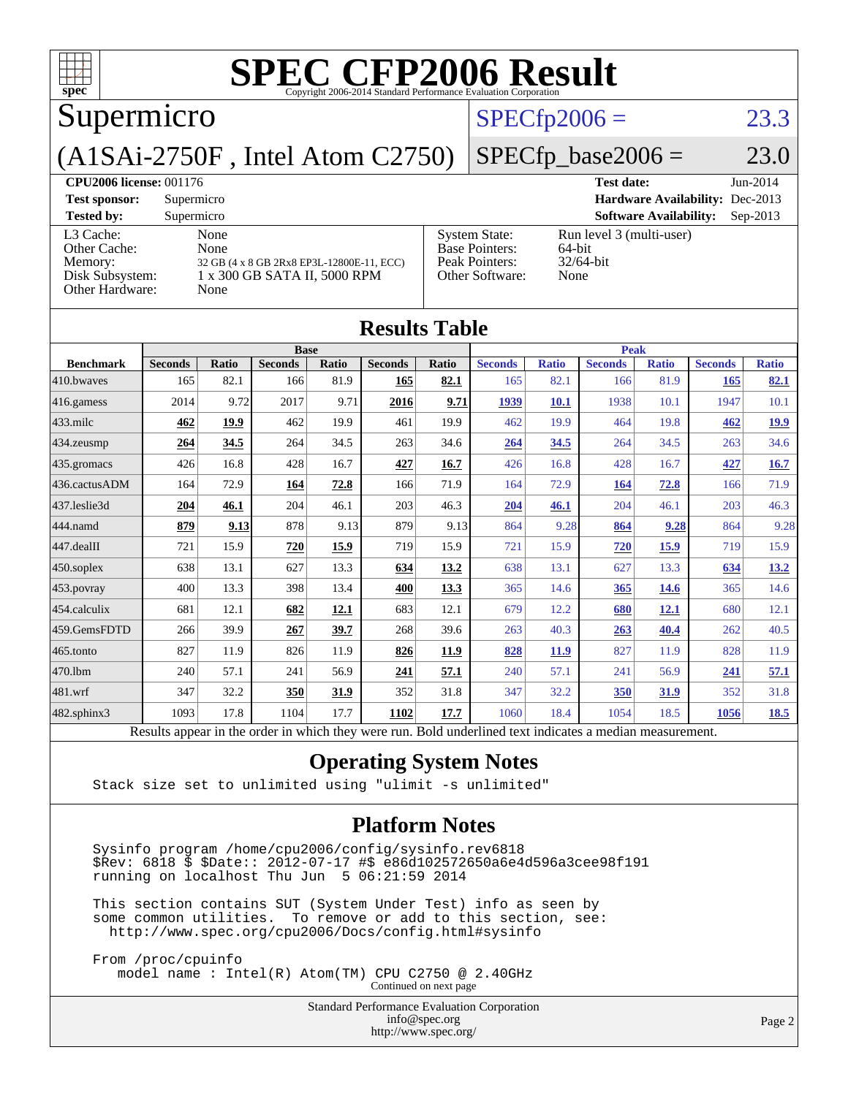| $\mathbf{Spec}^*$                                                          | <b>SPEC CFP2006 Result</b><br>Copyright 2006-2014 Standard Performance Evaluation Corporation     |                |                                                                                    |                                                            |            |  |  |  |
|----------------------------------------------------------------------------|---------------------------------------------------------------------------------------------------|----------------|------------------------------------------------------------------------------------|------------------------------------------------------------|------------|--|--|--|
| Supermicro                                                                 |                                                                                                   | $SPECfp2006 =$ | 23.3                                                                               |                                                            |            |  |  |  |
| $SPECfp\_base2006 =$<br>$(A1SAi-2750F$ , Intel Atom $C2750$                |                                                                                                   |                |                                                                                    |                                                            |            |  |  |  |
| <b>CPU2006 license: 001176</b>                                             |                                                                                                   |                |                                                                                    | <b>Test date:</b>                                          | $Jun-2014$ |  |  |  |
| <b>Test sponsor:</b>                                                       | Supermicro                                                                                        |                |                                                                                    | <b>Hardware Availability: Dec-2013</b>                     |            |  |  |  |
| <b>Tested by:</b>                                                          | Supermicro                                                                                        |                |                                                                                    | <b>Software Availability:</b>                              | Sep-2013   |  |  |  |
| L3 Cache:<br>Other Cache:<br>Memory:<br>Disk Subsystem:<br>Other Hardware: | None<br>None<br>32 GB (4 x 8 GB 2Rx8 EP3L-12800E-11, ECC)<br>1 x 300 GB SATA II, 5000 RPM<br>None |                | <b>System State:</b><br><b>Base Pointers:</b><br>Peak Pointers:<br>Other Software: | Run level 3 (multi-user)<br>64-bit<br>$32/64$ -bit<br>None |            |  |  |  |
| <b>Results Table</b>                                                       |                                                                                                   |                |                                                                                    |                                                            |            |  |  |  |

|                  |                                                                                                          |       | <b>Base</b>    |       |                |       | <b>Peak</b>    |              |                |              |                |              |
|------------------|----------------------------------------------------------------------------------------------------------|-------|----------------|-------|----------------|-------|----------------|--------------|----------------|--------------|----------------|--------------|
| <b>Benchmark</b> | <b>Seconds</b>                                                                                           | Ratio | <b>Seconds</b> | Ratio | <b>Seconds</b> | Ratio | <b>Seconds</b> | <b>Ratio</b> | <b>Seconds</b> | <b>Ratio</b> | <b>Seconds</b> | <b>Ratio</b> |
| 410.bwayes       | 165                                                                                                      | 82.1  | 166            | 81.9  | 165            | 82.1  | 165            | 82.1         | 166            | 81.9         | <b>165</b>     | 82.1         |
| 416.gamess       | 2014                                                                                                     | 9.72  | 2017           | 9.71  | 2016           | 9.71  | 1939           | 10.1         | 1938           | 10.1         | 1947           | 10.1         |
| $433$ .milc      | 462                                                                                                      | 19.9  | 462            | 19.9  | 461            | 19.9  | 462            | 19.9         | 464            | 19.8         | 462            | 19.9         |
| 434.zeusmp       | 264                                                                                                      | 34.5  | 264            | 34.5  | 263            | 34.6  | 264            | 34.5         | 264            | 34.5         | 263            | 34.6         |
| 435.gromacs      | 426                                                                                                      | 16.8  | 428            | 16.7  | 427            | 16.7  | 426            | 16.8         | 428            | 16.7         | 427            | 16.7         |
| 436.cactusADM    | 164                                                                                                      | 72.9  | 164            | 72.8  | 166            | 71.9  | 164            | 72.9         | 164            | 72.8         | 166            | 71.9         |
| 437.leslie3d     | 204                                                                                                      | 46.1  | 204            | 46.1  | 203            | 46.3  | 204            | 46.1         | 204            | 46.1         | 203            | 46.3         |
| 444.namd         | 879                                                                                                      | 9.13  | 878            | 9.13  | 879            | 9.13  | 864            | 9.28         | 864            | 9.28         | 864            | 9.28         |
| 447.dealII       | 721                                                                                                      | 15.9  | 720            | 15.9  | 719            | 15.9  | 721            | 15.9         | 720            | 15.9         | 719            | 15.9         |
| 450.soplex       | 638                                                                                                      | 13.1  | 627            | 13.3  | 634            | 13.2  | 638            | 13.1         | 627            | 13.3         | 634            | 13.2         |
| 453.povray       | 400                                                                                                      | 13.3  | 398            | 13.4  | 400            | 13.3  | 365            | 14.6         | 365            | <b>14.6</b>  | 365            | 14.6         |
| 454.calculix     | 681                                                                                                      | 12.1  | 682            | 12.1  | 683            | 12.1  | 679            | 12.2         | 680            | <u>12.1</u>  | 680            | 12.1         |
| 459.GemsFDTD     | 266                                                                                                      | 39.9  | 267            | 39.7  | 268            | 39.6  | 263            | 40.3         | 263            | 40.4         | 262            | 40.5         |
| 465.tonto        | 827                                                                                                      | 11.9  | 826            | 11.9  | 826            | 11.9  | 828            | <b>11.9</b>  | 827            | 11.9         | 828            | 11.9         |
| 470.1bm          | 240                                                                                                      | 57.1  | 241            | 56.9  | 241            | 57.1  | 240            | 57.1         | 241            | 56.9         | 241            | 57.1         |
| 481.wrf          | 347                                                                                                      | 32.2  | 350            | 31.9  | 352            | 31.8  | 347            | 32.2         | 350            | 31.9         | 352            | 31.8         |
| 482.sphinx3      | 1093                                                                                                     | 17.8  | 1104           | 17.7  | 1102           | 17.7  | 1060           | 18.4         | 1054           | 18.5         | 1056           | <u>18.5</u>  |
|                  | Results appear in the order in which they were run. Bold underlined text indicates a median measurement. |       |                |       |                |       |                |              |                |              |                |              |

### **[Operating System Notes](http://www.spec.org/auto/cpu2006/Docs/result-fields.html#OperatingSystemNotes)**

Stack size set to unlimited using "ulimit -s unlimited"

#### **[Platform Notes](http://www.spec.org/auto/cpu2006/Docs/result-fields.html#PlatformNotes)**

 Sysinfo program /home/cpu2006/config/sysinfo.rev6818 \$Rev: 6818 \$ \$Date:: 2012-07-17 #\$ e86d102572650a6e4d596a3cee98f191 running on localhost Thu Jun 5 06:21:59 2014

 This section contains SUT (System Under Test) info as seen by some common utilities. To remove or add to this section, see: <http://www.spec.org/cpu2006/Docs/config.html#sysinfo>

 From /proc/cpuinfo model name : Intel(R) Atom(TM) CPU C2750 @ 2.40GHz Continued on next page

> Standard Performance Evaluation Corporation [info@spec.org](mailto:info@spec.org) <http://www.spec.org/>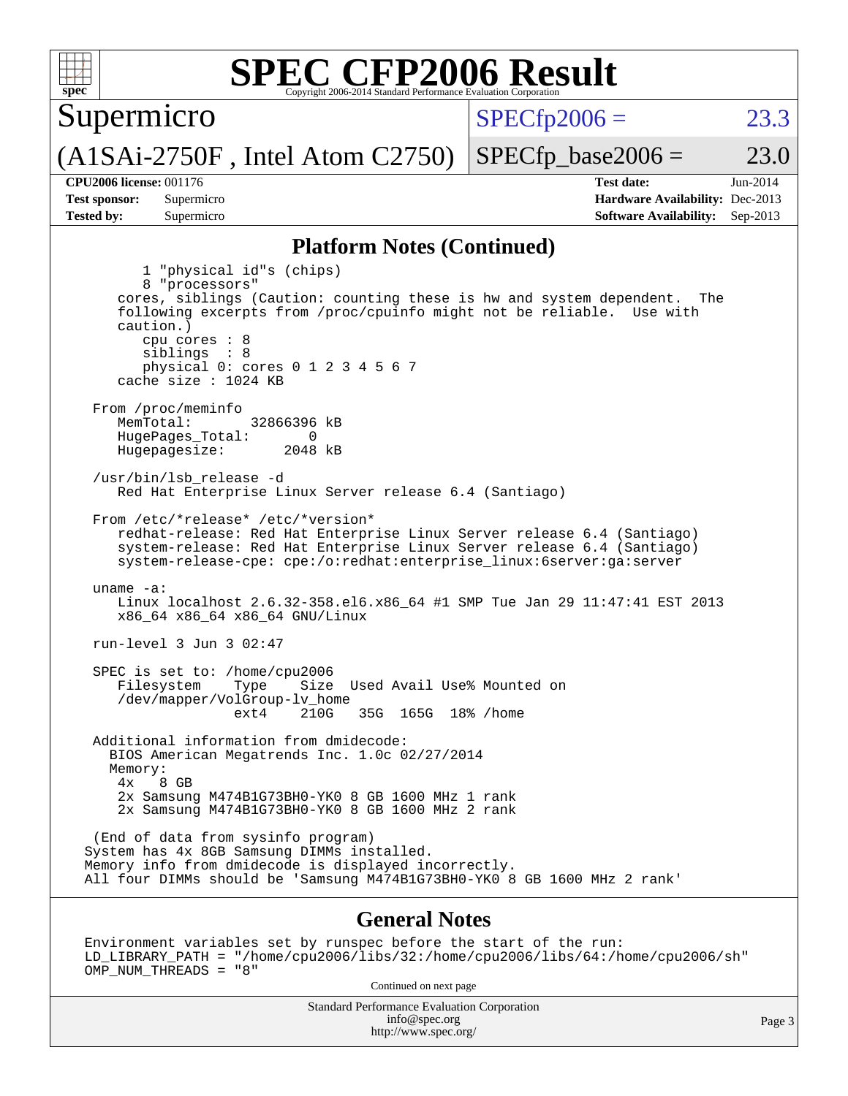

Environment variables set by runspec before the start of the run: LD\_LIBRARY\_PATH = "/home/cpu2006/libs/32:/home/cpu2006/libs/64:/home/cpu2006/sh" OMP\_NUM\_THREADS = "8"

Continued on next page

Standard Performance Evaluation Corporation [info@spec.org](mailto:info@spec.org) <http://www.spec.org/>

Page 3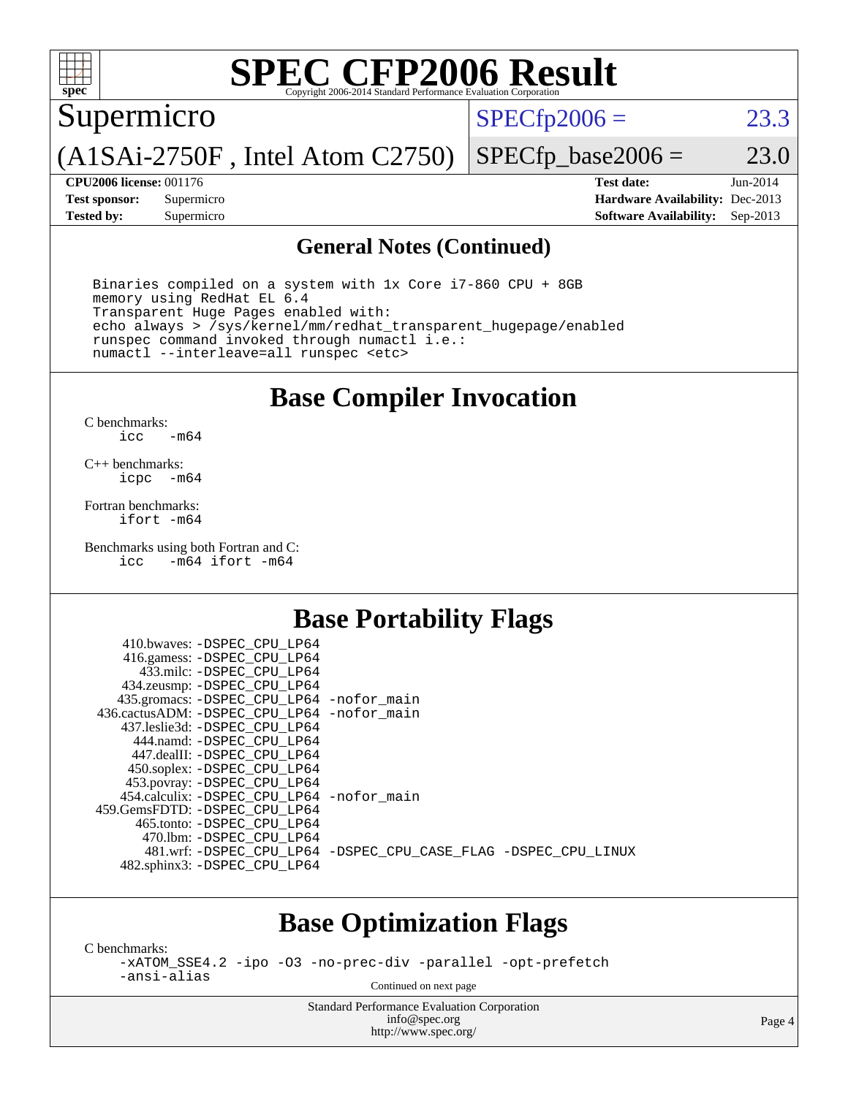

# **[SPEC CFP2006 Result](http://www.spec.org/auto/cpu2006/Docs/result-fields.html#SPECCFP2006Result)**

Supermicro

 $SPECTp2006 = 23.3$ 

(A1SAi-2750F , Intel Atom C2750)

 $SPECfp\_base2006 = 23.0$ 

**[CPU2006 license:](http://www.spec.org/auto/cpu2006/Docs/result-fields.html#CPU2006license)** 001176 **[Test date:](http://www.spec.org/auto/cpu2006/Docs/result-fields.html#Testdate)** Jun-2014 **[Test sponsor:](http://www.spec.org/auto/cpu2006/Docs/result-fields.html#Testsponsor)** Supermicro **[Hardware Availability:](http://www.spec.org/auto/cpu2006/Docs/result-fields.html#HardwareAvailability)** Dec-2013 **[Tested by:](http://www.spec.org/auto/cpu2006/Docs/result-fields.html#Testedby)** Supermicro **[Software Availability:](http://www.spec.org/auto/cpu2006/Docs/result-fields.html#SoftwareAvailability)** Sep-2013

#### **[General Notes \(Continued\)](http://www.spec.org/auto/cpu2006/Docs/result-fields.html#GeneralNotes)**

 Binaries compiled on a system with 1x Core i7-860 CPU + 8GB memory using RedHat EL 6.4 Transparent Huge Pages enabled with: echo always > /sys/kernel/mm/redhat\_transparent\_hugepage/enabled runspec command invoked through numactl i.e.: numactl --interleave=all runspec <etc>

### **[Base Compiler Invocation](http://www.spec.org/auto/cpu2006/Docs/result-fields.html#BaseCompilerInvocation)**

[C benchmarks](http://www.spec.org/auto/cpu2006/Docs/result-fields.html#Cbenchmarks): [icc -m64](http://www.spec.org/cpu2006/results/res2014q3/cpu2006-20140617-29940.flags.html#user_CCbase_intel_icc_64bit_0b7121f5ab7cfabee23d88897260401c)

[C++ benchmarks:](http://www.spec.org/auto/cpu2006/Docs/result-fields.html#CXXbenchmarks) [icpc -m64](http://www.spec.org/cpu2006/results/res2014q3/cpu2006-20140617-29940.flags.html#user_CXXbase_intel_icpc_64bit_bedb90c1146cab66620883ef4f41a67e)

[Fortran benchmarks](http://www.spec.org/auto/cpu2006/Docs/result-fields.html#Fortranbenchmarks): [ifort -m64](http://www.spec.org/cpu2006/results/res2014q3/cpu2006-20140617-29940.flags.html#user_FCbase_intel_ifort_64bit_ee9d0fb25645d0210d97eb0527dcc06e)

[Benchmarks using both Fortran and C](http://www.spec.org/auto/cpu2006/Docs/result-fields.html#BenchmarksusingbothFortranandC): [icc -m64](http://www.spec.org/cpu2006/results/res2014q3/cpu2006-20140617-29940.flags.html#user_CC_FCbase_intel_icc_64bit_0b7121f5ab7cfabee23d88897260401c) [ifort -m64](http://www.spec.org/cpu2006/results/res2014q3/cpu2006-20140617-29940.flags.html#user_CC_FCbase_intel_ifort_64bit_ee9d0fb25645d0210d97eb0527dcc06e)

### **[Base Portability Flags](http://www.spec.org/auto/cpu2006/Docs/result-fields.html#BasePortabilityFlags)**

| 410.bwaves: -DSPEC_CPU_LP64                |                                                                |
|--------------------------------------------|----------------------------------------------------------------|
| 416.gamess: -DSPEC_CPU_LP64                |                                                                |
| 433.milc: -DSPEC CPU LP64                  |                                                                |
| 434.zeusmp: -DSPEC_CPU_LP64                |                                                                |
| 435.gromacs: -DSPEC_CPU_LP64 -nofor_main   |                                                                |
| 436.cactusADM: -DSPEC CPU LP64 -nofor main |                                                                |
| 437.leslie3d: -DSPEC CPU LP64              |                                                                |
| 444.namd: - DSPEC_CPU_LP64                 |                                                                |
| 447.dealII: -DSPEC CPU LP64                |                                                                |
| 450.soplex: -DSPEC_CPU_LP64                |                                                                |
| 453.povray: -DSPEC_CPU_LP64                |                                                                |
| 454.calculix: -DSPEC CPU LP64 -nofor main  |                                                                |
| 459.GemsFDTD: - DSPEC_CPU LP64             |                                                                |
| 465.tonto: - DSPEC CPU LP64                |                                                                |
| 470.1bm: - DSPEC CPU LP64                  |                                                                |
|                                            | 481.wrf: -DSPEC_CPU_LP64 -DSPEC_CPU_CASE_FLAG -DSPEC_CPU_LINUX |
| 482.sphinx3: -DSPEC_CPU_LP64               |                                                                |

### **[Base Optimization Flags](http://www.spec.org/auto/cpu2006/Docs/result-fields.html#BaseOptimizationFlags)**

[C benchmarks](http://www.spec.org/auto/cpu2006/Docs/result-fields.html#Cbenchmarks):

[-xATOM\\_SSE4.2](http://www.spec.org/cpu2006/results/res2014q3/cpu2006-20140617-29940.flags.html#user_CCbase_f-xATOM_SSE4.2) [-ipo](http://www.spec.org/cpu2006/results/res2014q3/cpu2006-20140617-29940.flags.html#user_CCbase_f-ipo) [-O3](http://www.spec.org/cpu2006/results/res2014q3/cpu2006-20140617-29940.flags.html#user_CCbase_f-O3) [-no-prec-div](http://www.spec.org/cpu2006/results/res2014q3/cpu2006-20140617-29940.flags.html#user_CCbase_f-no-prec-div) [-parallel](http://www.spec.org/cpu2006/results/res2014q3/cpu2006-20140617-29940.flags.html#user_CCbase_f-parallel) [-opt-prefetch](http://www.spec.org/cpu2006/results/res2014q3/cpu2006-20140617-29940.flags.html#user_CCbase_f-opt-prefetch) [-ansi-alias](http://www.spec.org/cpu2006/results/res2014q3/cpu2006-20140617-29940.flags.html#user_CCbase_f-ansi-alias)

Continued on next page

Standard Performance Evaluation Corporation [info@spec.org](mailto:info@spec.org) <http://www.spec.org/>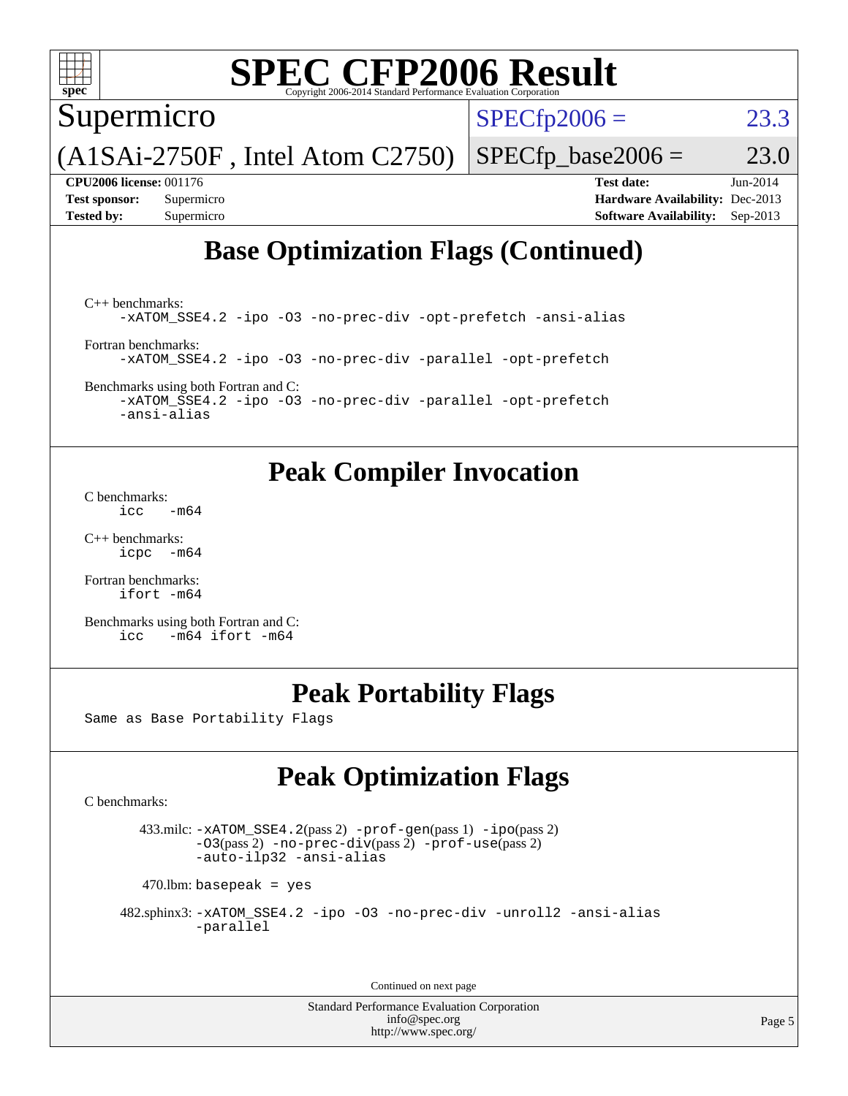

## **[SPEC CFP2006 Result](http://www.spec.org/auto/cpu2006/Docs/result-fields.html#SPECCFP2006Result)**

Supermicro

 $SPECTp2006 = 23.3$ 

 $SPECfp\_base2006 = 23.0$ 

(A1SAi-2750F , Intel Atom C2750)

**[CPU2006 license:](http://www.spec.org/auto/cpu2006/Docs/result-fields.html#CPU2006license)** 001176 **[Test date:](http://www.spec.org/auto/cpu2006/Docs/result-fields.html#Testdate)** Jun-2014 **[Test sponsor:](http://www.spec.org/auto/cpu2006/Docs/result-fields.html#Testsponsor)** Supermicro **[Hardware Availability:](http://www.spec.org/auto/cpu2006/Docs/result-fields.html#HardwareAvailability)** Dec-2013

## **[Base Optimization Flags \(Continued\)](http://www.spec.org/auto/cpu2006/Docs/result-fields.html#BaseOptimizationFlags)**

**[Tested by:](http://www.spec.org/auto/cpu2006/Docs/result-fields.html#Testedby)** Supermicro **[Software Availability:](http://www.spec.org/auto/cpu2006/Docs/result-fields.html#SoftwareAvailability)** Sep-2013

[C++ benchmarks:](http://www.spec.org/auto/cpu2006/Docs/result-fields.html#CXXbenchmarks) [-xATOM\\_SSE4.2](http://www.spec.org/cpu2006/results/res2014q3/cpu2006-20140617-29940.flags.html#user_CXXbase_f-xATOM_SSE4.2) [-ipo](http://www.spec.org/cpu2006/results/res2014q3/cpu2006-20140617-29940.flags.html#user_CXXbase_f-ipo) [-O3](http://www.spec.org/cpu2006/results/res2014q3/cpu2006-20140617-29940.flags.html#user_CXXbase_f-O3) [-no-prec-div](http://www.spec.org/cpu2006/results/res2014q3/cpu2006-20140617-29940.flags.html#user_CXXbase_f-no-prec-div) [-opt-prefetch](http://www.spec.org/cpu2006/results/res2014q3/cpu2006-20140617-29940.flags.html#user_CXXbase_f-opt-prefetch) [-ansi-alias](http://www.spec.org/cpu2006/results/res2014q3/cpu2006-20140617-29940.flags.html#user_CXXbase_f-ansi-alias)

[Fortran benchmarks](http://www.spec.org/auto/cpu2006/Docs/result-fields.html#Fortranbenchmarks): [-xATOM\\_SSE4.2](http://www.spec.org/cpu2006/results/res2014q3/cpu2006-20140617-29940.flags.html#user_FCbase_f-xATOM_SSE4.2) [-ipo](http://www.spec.org/cpu2006/results/res2014q3/cpu2006-20140617-29940.flags.html#user_FCbase_f-ipo) [-O3](http://www.spec.org/cpu2006/results/res2014q3/cpu2006-20140617-29940.flags.html#user_FCbase_f-O3) [-no-prec-div](http://www.spec.org/cpu2006/results/res2014q3/cpu2006-20140617-29940.flags.html#user_FCbase_f-no-prec-div) [-parallel](http://www.spec.org/cpu2006/results/res2014q3/cpu2006-20140617-29940.flags.html#user_FCbase_f-parallel) [-opt-prefetch](http://www.spec.org/cpu2006/results/res2014q3/cpu2006-20140617-29940.flags.html#user_FCbase_f-opt-prefetch)

[Benchmarks using both Fortran and C](http://www.spec.org/auto/cpu2006/Docs/result-fields.html#BenchmarksusingbothFortranandC): [-xATOM\\_SSE4.2](http://www.spec.org/cpu2006/results/res2014q3/cpu2006-20140617-29940.flags.html#user_CC_FCbase_f-xATOM_SSE4.2) [-ipo](http://www.spec.org/cpu2006/results/res2014q3/cpu2006-20140617-29940.flags.html#user_CC_FCbase_f-ipo) [-O3](http://www.spec.org/cpu2006/results/res2014q3/cpu2006-20140617-29940.flags.html#user_CC_FCbase_f-O3) [-no-prec-div](http://www.spec.org/cpu2006/results/res2014q3/cpu2006-20140617-29940.flags.html#user_CC_FCbase_f-no-prec-div) [-parallel](http://www.spec.org/cpu2006/results/res2014q3/cpu2006-20140617-29940.flags.html#user_CC_FCbase_f-parallel) [-opt-prefetch](http://www.spec.org/cpu2006/results/res2014q3/cpu2006-20140617-29940.flags.html#user_CC_FCbase_f-opt-prefetch)

[-ansi-alias](http://www.spec.org/cpu2006/results/res2014q3/cpu2006-20140617-29940.flags.html#user_CC_FCbase_f-ansi-alias)

### **[Peak Compiler Invocation](http://www.spec.org/auto/cpu2006/Docs/result-fields.html#PeakCompilerInvocation)**

[C benchmarks](http://www.spec.org/auto/cpu2006/Docs/result-fields.html#Cbenchmarks):  $\text{icc}$   $-\text{m64}$ 

[C++ benchmarks:](http://www.spec.org/auto/cpu2006/Docs/result-fields.html#CXXbenchmarks) [icpc -m64](http://www.spec.org/cpu2006/results/res2014q3/cpu2006-20140617-29940.flags.html#user_CXXpeak_intel_icpc_64bit_bedb90c1146cab66620883ef4f41a67e)

[Fortran benchmarks](http://www.spec.org/auto/cpu2006/Docs/result-fields.html#Fortranbenchmarks): [ifort -m64](http://www.spec.org/cpu2006/results/res2014q3/cpu2006-20140617-29940.flags.html#user_FCpeak_intel_ifort_64bit_ee9d0fb25645d0210d97eb0527dcc06e)

[Benchmarks using both Fortran and C](http://www.spec.org/auto/cpu2006/Docs/result-fields.html#BenchmarksusingbothFortranandC): [icc -m64](http://www.spec.org/cpu2006/results/res2014q3/cpu2006-20140617-29940.flags.html#user_CC_FCpeak_intel_icc_64bit_0b7121f5ab7cfabee23d88897260401c) [ifort -m64](http://www.spec.org/cpu2006/results/res2014q3/cpu2006-20140617-29940.flags.html#user_CC_FCpeak_intel_ifort_64bit_ee9d0fb25645d0210d97eb0527dcc06e)

### **[Peak Portability Flags](http://www.spec.org/auto/cpu2006/Docs/result-fields.html#PeakPortabilityFlags)**

Same as Base Portability Flags

## **[Peak Optimization Flags](http://www.spec.org/auto/cpu2006/Docs/result-fields.html#PeakOptimizationFlags)**

[C benchmarks](http://www.spec.org/auto/cpu2006/Docs/result-fields.html#Cbenchmarks):

 433.milc: [-xATOM\\_SSE4.2](http://www.spec.org/cpu2006/results/res2014q3/cpu2006-20140617-29940.flags.html#user_peakPASS2_CFLAGSPASS2_LDFLAGS433_milc_f-xATOM_SSE4.2)(pass 2) [-prof-gen](http://www.spec.org/cpu2006/results/res2014q3/cpu2006-20140617-29940.flags.html#user_peakPASS1_CFLAGSPASS1_LDFLAGS433_milc_prof_gen_e43856698f6ca7b7e442dfd80e94a8fc)(pass 1) [-ipo](http://www.spec.org/cpu2006/results/res2014q3/cpu2006-20140617-29940.flags.html#user_peakPASS2_CFLAGSPASS2_LDFLAGS433_milc_f-ipo)(pass 2) [-O3](http://www.spec.org/cpu2006/results/res2014q3/cpu2006-20140617-29940.flags.html#user_peakPASS2_CFLAGSPASS2_LDFLAGS433_milc_f-O3)(pass 2) [-no-prec-div](http://www.spec.org/cpu2006/results/res2014q3/cpu2006-20140617-29940.flags.html#user_peakPASS2_CFLAGSPASS2_LDFLAGS433_milc_f-no-prec-div)(pass 2) [-prof-use](http://www.spec.org/cpu2006/results/res2014q3/cpu2006-20140617-29940.flags.html#user_peakPASS2_CFLAGSPASS2_LDFLAGS433_milc_prof_use_bccf7792157ff70d64e32fe3e1250b55)(pass 2) [-auto-ilp32](http://www.spec.org/cpu2006/results/res2014q3/cpu2006-20140617-29940.flags.html#user_peakCOPTIMIZE433_milc_f-auto-ilp32) [-ansi-alias](http://www.spec.org/cpu2006/results/res2014q3/cpu2006-20140617-29940.flags.html#user_peakCOPTIMIZE433_milc_f-ansi-alias)

 $470$ .lbm: basepeak = yes

 482.sphinx3: [-xATOM\\_SSE4.2](http://www.spec.org/cpu2006/results/res2014q3/cpu2006-20140617-29940.flags.html#user_peakOPTIMIZE482_sphinx3_f-xATOM_SSE4.2) [-ipo](http://www.spec.org/cpu2006/results/res2014q3/cpu2006-20140617-29940.flags.html#user_peakOPTIMIZE482_sphinx3_f-ipo) [-O3](http://www.spec.org/cpu2006/results/res2014q3/cpu2006-20140617-29940.flags.html#user_peakOPTIMIZE482_sphinx3_f-O3) [-no-prec-div](http://www.spec.org/cpu2006/results/res2014q3/cpu2006-20140617-29940.flags.html#user_peakOPTIMIZE482_sphinx3_f-no-prec-div) [-unroll2](http://www.spec.org/cpu2006/results/res2014q3/cpu2006-20140617-29940.flags.html#user_peakCOPTIMIZE482_sphinx3_f-unroll_784dae83bebfb236979b41d2422d7ec2) [-ansi-alias](http://www.spec.org/cpu2006/results/res2014q3/cpu2006-20140617-29940.flags.html#user_peakCOPTIMIZE482_sphinx3_f-ansi-alias) [-parallel](http://www.spec.org/cpu2006/results/res2014q3/cpu2006-20140617-29940.flags.html#user_peakCOPTIMIZE482_sphinx3_f-parallel)

Continued on next page

Standard Performance Evaluation Corporation [info@spec.org](mailto:info@spec.org) <http://www.spec.org/>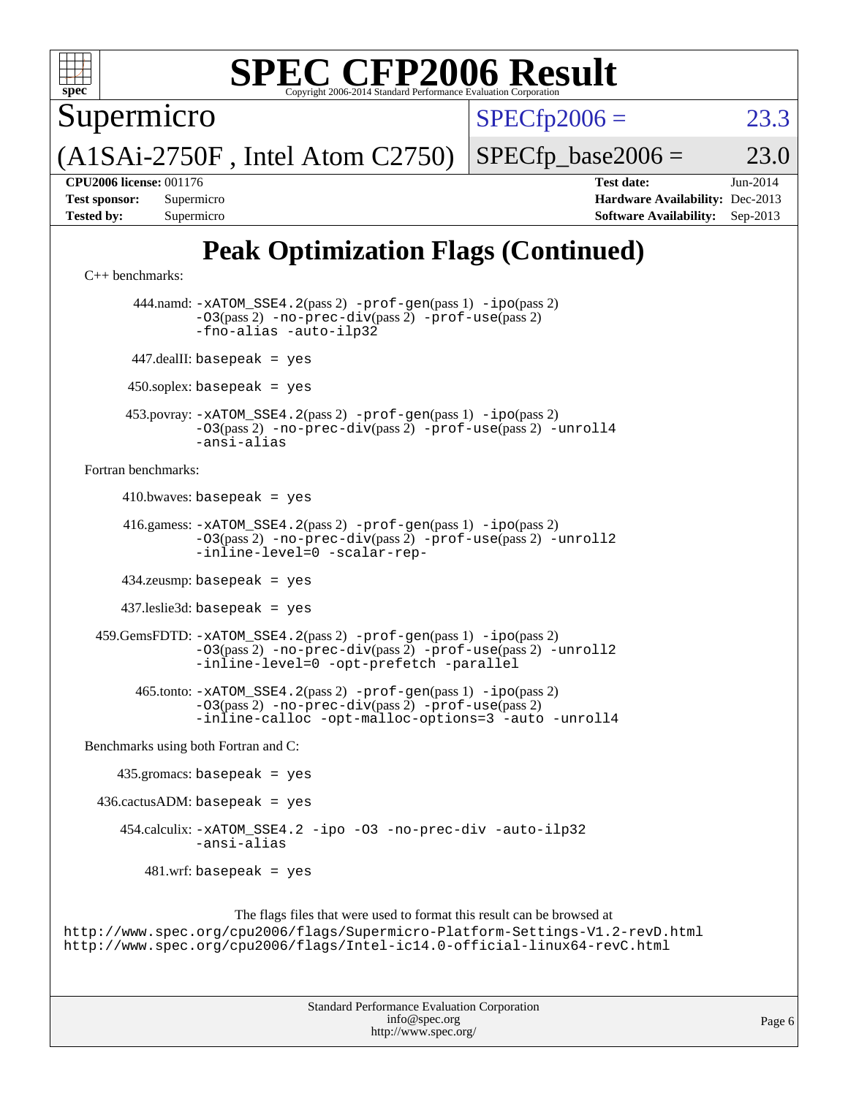

# **[SPEC CFP2006 Result](http://www.spec.org/auto/cpu2006/Docs/result-fields.html#SPECCFP2006Result)**

Supermicro

 $SPECfp2006 = 23.3$  $SPECfp2006 = 23.3$ 

(A1SAi-2750F , Intel Atom C2750)

 $SPECTp\_base2006 = 23.0$ 

**[CPU2006 license:](http://www.spec.org/auto/cpu2006/Docs/result-fields.html#CPU2006license)** 001176 **[Test date:](http://www.spec.org/auto/cpu2006/Docs/result-fields.html#Testdate)** Jun-2014 **[Test sponsor:](http://www.spec.org/auto/cpu2006/Docs/result-fields.html#Testsponsor)** Supermicro **[Hardware Availability:](http://www.spec.org/auto/cpu2006/Docs/result-fields.html#HardwareAvailability)** Dec-2013 **[Tested by:](http://www.spec.org/auto/cpu2006/Docs/result-fields.html#Testedby)** Supermicro **[Software Availability:](http://www.spec.org/auto/cpu2006/Docs/result-fields.html#SoftwareAvailability)** Sep-2013

## **[Peak Optimization Flags \(Continued\)](http://www.spec.org/auto/cpu2006/Docs/result-fields.html#PeakOptimizationFlags)**

```
C++ benchmarks: 
           444.namd: -xATOM_SSE4.2(pass 2) -prof-gen(pass 1) -ipo(pass 2)
                  -03(pass 2) -no-prec-div-prof-use(pass 2)-fno-alias -auto-ilp32
          447.dealII: basepeak = yes
          450.soplex: basepeak = yes
         453.povray: -xATOM_SSE4.2(pass 2) -prof-gen(pass 1) -ipo(pass 2)
                  -O3(pass 2) -no-prec-div(pass 2) -prof-use(pass 2) -unroll4
                  -ansi-alias
   Fortran benchmarks: 
         410.bwaves: basepeak = yes
         416.gamess: -xATOM_SSE4.2(pass 2) -prof-gen(pass 1) -ipo(pass 2)
                  -O3(pass 2) -no-prec-div(pass 2) -prof-use(pass 2) -unroll2
                  -inline-level=0 -scalar-rep-
         434.zeusmp: basepeak = yes
         437.leslie3d: basepeak = yes
     459.GemsFDTD: -xATOM_SSE4.2(pass 2) -prof-gen(pass 1) -ipo(pass 2)
                  -O3(pass 2) -no-prec-div(pass 2) -prof-use(pass 2) -unroll2
                  -inline-level=0 -opt-prefetch -parallel
           465.tonto: -xATOM_SSE4.2(pass 2) -prof-gen(pass 1) -ipo(pass 2)
                  -O3(pass 2) -no-prec-div(pass 2) -prof-use(pass 2)
                  -inline-calloc -opt-malloc-options=3 -auto -unroll4
   Benchmarks using both Fortran and C: 
       435.\text{gromacs: basepeak} = yes
    436.cactusADM: basepeak = yes 454.calculix: -xATOM_SSE4.2 -ipo -O3 -no-prec-div -auto-ilp32
                  -ansi-alias
           481.wrf: basepeak = yes
                        The flags files that were used to format this result can be browsed at
http://www.spec.org/cpu2006/flags/Supermicro-Platform-Settings-V1.2-revD.html
http://www.spec.org/cpu2006/flags/Intel-ic14.0-official-linux64-revC.html
```